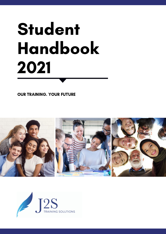# Student Handbook 2021

OUR TRAINING. YOUR FUTURE



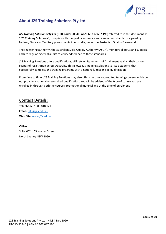

# <span id="page-1-0"></span>**About J2S Training Solutions Pty Ltd**

*J2S Training Solutions Pty Ltd* **(RTO Code: 90940; ABN: 66 107 687 196)**referred to in this document as "**J2S Training Solutions**", complies with the quality assurance and assessment standards agreed by Federal, State and Territory governments in Australia, under the Australian Quality Framework.

The registering authority, the Australian Skills Quality Authority (ASQA), monitors all RTOs and subjects each to regular external audits to verify adherence to these standards.

J2S Training Solutions offers qualifications, skillsets or Statements of Attainment against their various scopes of registration across Australia. This allows J2S Training Solutions to issue students that successfully complete the training programs with a nationally recognised qualification.

From time to time, J2S Training Solutions may also offer short non-accredited training courses which do not provide a nationally recognised qualification. You will be advised of the type of course you are enrolled in through both the course's promotional material and at the time of enrolment.

# Contact Details:

**Telephone:** 1300 818 121 **Email:** [info@j2s.edu.au](mailto:info@j2s.edu.au) **Web Site:** [www.j2s.edu.au](http://www.j2s.edu.au/)

# **Office:** Suite 602, 153 Walker Street North Sydney NSW 2060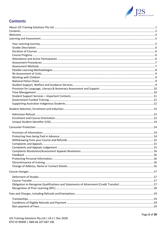

# **Contents**

<span id="page-2-0"></span>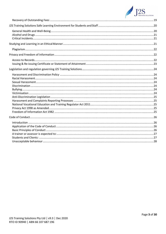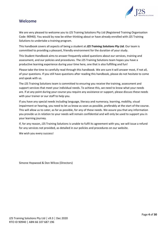

# <span id="page-4-0"></span>**Welcome**

We are very pleased to welcome you to J2S Training Solutions Pty Ltd (Registered Training Organisation Code: 90940). You would by now be either thinking about or have already enrolled with J2S Training Solutions to undertake a training program.

This handbook covers all aspects of being a student at *J2S Training Solutions Pty Ltd.* Our team is committed to providing a pleasant, friendly environment for the duration of your study.

This Student Handbook aims to answer frequently asked questions about our services, training and assessment, and our policies and procedures. The J2S Training Solutions team hopes you have a productive learning experience during your time here, one that is also fulfilling and fun!

Please take the time to carefully read through this handbook. We are sure it will answer most, if not all, of your questions. If you still have questions after reading this handbook, please do not hesitate to come and speak with us.

The J2S Training Solutions team is committed to ensuring you receive the training, assessment and support services that meet your individual needs. To achieve this, we need to know what your needs are. If at any point during your course you require any assistance or support, please discuss these needs with your trainer or our staff to help you.

If you have any special needs including language, literacy and numeracy, learning, mobility, visual impairment or hearing, you need to let us know as soon as possible, preferably at the start of the course. This will allow us to cater, as far as possible, for any of these needs. We assure you that any information you provide us in relation to your needs will remain confidential and will only be used to support you in your learning journey.

If, for any reason, J2S Training Solutions is unable to fulfil its agreement with you, we will issue a refund for any services not provided, as detailed in our policies and procedures on our website.

We wish you every success!

Simone Hopwood & Don Wilcox (Directors)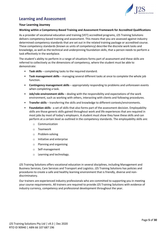

# <span id="page-5-0"></span>**Learning and Assessment**

## <span id="page-5-1"></span>**Your Learning Journey**

#### **Working within a Competency-Based Training and Assessment Framework for Accredited Qualifications**

As a provider of vocational education and training (VET) accredited programs, J2S Training Solutions delivers competency-based training and assessment. This means that you are assessed against industry determined competency standards that are set out in the related training package or accredited course. These competency standards (known as units of competency) describe the discrete work tasks and knowledge, as well as the technical and underpinning foundation skills, that a person needs to perform a task effectively in the workplace.

The student's ability to perform in a range of situations forms part of assessment and these skills are referred to collectively as the dimensions of competency, where the student must be able to demonstrate:

- **Task skills** completing tasks to the required standard.
- **Task management skills** managing several different tasks at once to complete the whole job function.
- **Contingency management skills** appropriately responding to problems and unforeseen events when completing a task.
- **Job/role environment skills** dealing with the responsibility and expectations of the work environment, such as working with others, interacting with clients and following procedures.
- **Transfer skills** transferring the skills and knowledge to different contexts/environments.
- **Foundation skills** a set of skills that also forms part of the assessment decision. Employability skills are those generic skills gained throughout work and life experiences that are required in most jobs by most of today's employers. A student must show they have these skills and can perform at a certain level as outlined in the competency standards. The employability skills are:
	- o Communication
	- o Teamwork
	- o Problem-solving
	- o Initiative and enterprise
	- o Planning and organising
	- o Self-management
	- o Learning and technology.

J2S Training Solutions offers vocational education in several disciplines, including Management and Business Services, Care Services and Transport and Logistics. J2S Training Solutions has policies and procedures to create a safe and healthy learning environment that is friendly, diverse and nondiscriminatory.

Our trainers are experienced industry professionals who are committed to supporting you in meeting your course requirements. All trainers are required to provide J2S Training Solutions with evidence of industry currency, competency and professional development throughout the year.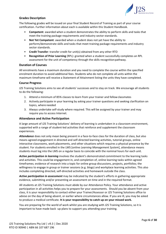

# <span id="page-6-0"></span>**Grades Description**

The following grades will be issued on your final Student Record of Training as part of your course certification. Further information about each is available within this Student Handbook.

- **Competent**: awarded when a student demonstrates the ability to perform skills and tasks that meet the training package requirements and industry sector standards.
- **Not Yet Competent**: awarded when a student does not yet have the ability to perform/demonstrate skills and tasks that meet training package requirements and industry sector standards.
- **Credit Transfer**: transfer credit for unit(s) obtained from any other RTO
- **Recognition of Prior Learning** (RPL): granted when a student successfully completes an RPL assessment for the unit of competency through the skills recognitionpathway.

#### <span id="page-6-1"></span>**Duration of Courses**

All enrolments have a maximum duration and you need to complete the course within the specified enrolment duration to avoid additional fees. Students who do not complete all units within the maximum timeframe will receive a Statement of Attainment listing the units they have completed.

#### <span id="page-6-2"></span>**Course Progress**

J2S Training Solutions aims to see all students' successes and to stay on track. We encourage all students to do the following:

- 1. Attend a minimum of 85% classes to learn from your trainer and fellowclassmates
- 2. Actively participate in your learning by asking your trainer questions and seeking clarification on topics, where needed
- 3. Always undertake self-study where required. This will be assigned by your trainer and may require you to access Internet.

#### <span id="page-6-3"></span>**Attendance and Active Participation**

A large amount of J2S Training Solutions' delivery of learning is undertaken in a classroom environment, supported with a range of student-led activities that reinforce and supplement the classroom experiences.

*Attendance* does not only mean being present in a face-to-face class for the duration of class, but also means agreed engagement in directed and self-directed learning activities, tutorial groups, online interactive classrooms, work placements, and other situations which requires a physical presence by the student. For students enrolled in the LMS [online *Learning Management System*], attendance means students must log into the LMS on a regular basis to coincide with the nominal hours for each unit.

*Active participation in learning* involves the student's demonstrated commitment to the learning tasks and activities. This could be engagement in, and completion of, online learning tasks within agreed timeframes; evidence of research into a topic for online group discussions, projects, portfolios; the willingness to engage in group or trainer sessions (e.g. blogs) and workplace learning activities. This also includes completing directed, self-directed activities and homework outside the class.

*Active participation in assessment* may be indicated by the student's efforts in gathering appropriate evidence, submitting and/or presenting an assessment on time and in the required format.

All students at J2S Training Solutions must abide by our Attendance Policy. Your attendance and active participation in all activities helps you to prepare for your assessments. Should you be absent from your class, it is your responsibility to contact either your Trainer/Assessor or J2S Training Solutions office to advise on the day of being absent, or earlier where circumstances allow. If you are ill, you may be asked to produce a medical certificate. **It is your responsibility to catch up on your missed work.**

You are preparing for the world of work whilst you are studying with J2S Training Solutions, so it is important to have made back -up plans to support you attending your training.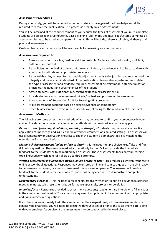

## <span id="page-7-0"></span>**Assessment Procedures**

During your study, you will be required to demonstrate you have gained the knowledge and skills required to receive the qualification. This process is broadly called "Assessment".

You will be informed at the commencement of your course the types of assessment you must complete. Students are assessed in a Competency Based Training (CBT) mode and must satisfactorily complete all assessment items to be rated as competent in a unit. This will include, where applicable, all theory and practical assessments.

Qualified trainers and assessors will be responsible for assessing your competence.

#### **Assessors are required to:**

- Ensure assessments are fair, flexible, valid and reliable. Evidence collected is valid, sufficient, authentic and current
- Be proficient in the field of training, with relevant industry experience and to be up to date with assessment methods and appropriate procedures
- Be negotiable. Any request for reasonable adjustment needs to be justified and must uphold the integrity and the academic standard of the qualification. Reasonable adjustment may relate to the type of assessment and evidence required, assessment delivery mode, anti-discrimination principles, the needs and circumstances of the student
- Advise students, with sufficient time, regarding upcoming assessment(s)
- Provide students with the assessment criteria/context and purpose of the assessment
- Advise students of Recognition for Prior Learning (RPL) processes
- Make assessment decisions based on explicit evidence of competency
- Expedite assessment to avoid unnecessary delays, allowing for the readiness of the student.

#### <span id="page-7-1"></span>**Assessment Methods**

The following are some assessment methods which may be used to confirm your competency in your course. The details of your actual assessment methods will be provided in your training plan.

**Demonstration (role-play, simulations, scenario, on-the-job)** – Students may demonstrate practical application of knowledge and skills either in a work environment or simulated setting. The assessor will use a competency or observation checklist to check the student's demonstrated skills matching the essential performance criteria.

*Multiple choice assessment (online or face-to-face)* – this includes multiple choice, true/false and / or tick-a-box questions. They may be marked automatically by the LMS and provide the immediate feedback to the students; or to be marked by an assessor. These assessments focus on your learning topic knowledge which generally allow up to three attempts.

*Written assessments including case studies (online or face-to-face) - This requires a written response to* online or workbook questions. Responses may be entered on-line and sent to a queue in the LMS ready for an assessor to review; or assessors may mark the answers on person. The assessor will provide feedback to the student in the event of a response not being adequate to demonstrate complete understanding.

*Documentary evidence* – This includes spreadsheets/graphs, written or typed text documents, attached meeting minutes, sales results, emails, performance appraisals, projects or portfolios.

*Interview/Oral* – Responses provided to assessment questions; supplementary interview to fill any gaps in the assessment submission. Your assessor may need to supplement the assessment with appropriate additional interview or questions.

If you feel you are not ready to do the assessment at the assigned time, a future assessment date can generally be organised. You will need to consult with your assessor prior to the assessment date, along with your employer/supervisor if the assessment is to be conducted in the workplace.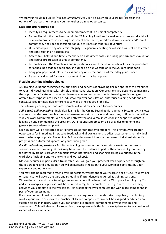

Where your result in a unit is '*Not Yet Competent*', you can discuss with your trainer/assessor the options of re-assessment or give you the further training opportunity.

## **Students are required to:**

- Identify all requirements to be deemed competent in a unit of competency
- Be familiar with the mechanisms within J2S Training Solutions for seeking assistance and advice in relation to problems in meeting assessment timeframes, withdrawal from a course and/or unit of competency and special consideration due to illness or other misadventure
- Understand practicing academic integrity plagiarism, cheating or collusion will not be tolerated and can result in an academic fail
- Accept fair, helpful and timely feedback on assessment tasks, including performance evaluation and course progression or unit of competency
- Be familiar with the Complaints and Appeals Policy and Procedure which includes the procedures for appealing academic decisions, as outlined on our website or in the Student Handbook
- Bring pen, paper and folder to class and any other materials as directed by your trainer
- Be suitably dressed for work placement should this be required.

## <span id="page-8-0"></span>**Flexible Learning Methodologies**

J2S Training Solutions recognises the principles and benefits of providing flexible approaches best suited to your individual learning style, job role and personal situation. Our programs are designed to maximise the opportunity for students to access learning content and assessments. Learning methodologies offered to enterprises are based on Industry/Employer consultation, enterprise training needs and are contextualised for individual enterprises as well as the required job role.

The following learning methods are examples of what may be used for our courses:

*Self-paced, online learning* **-** Individual log-ins for the Online Learning Management System (LMS) allows students to undertake their learning and assessments at own pace, and own time, to fit with their other study or work commitments. We provide both written and verbal instructions to support students in logging on and commencing the program. Our student support team also provides telephone and general (non-academic) support.

Each student will be allocated to a trainer/assessor for academic support. This provides you greater opportunity for immediate interactive feedback and allows trainers to adjust assessments to individual needs, where appropriate. The online LMS provides current information on each individual student's progress and automated updates on your training plan.

*Facilitated training sessions* **-** Facilitated training sessions, either face-to-face workshops or group sessions via electronic (e.g. Skype), may be offered to students as part of their course. A group setting facilitated by trainers provides opportunity for interactions and sharing learning experience in the workplace (including one-to-one visits and workshops).

Most our courses, in particular a traineeship, you will gain your practical work experience through onthe-job training and simulation. You will be assessed in relation to your workplace activities by your supervisor and our trainer.

You may also be required to attend training sessions/workshops at your worksite or off-site. Your trainer or supervisor will advise the type and scheduling if attendance is required at training sessions. Where there is a workplace training component, you will be issued with a Workplace Learning Log. You and your workplace supervisor will be required to regularly complete the Log to record the learning activities you complete in the workplace. It is essential that you complete the workplace component as part of your assessment.

If you are not employed, your study program may require you to undertake compulsory or voluntary work experience to demonstrate practical skills and competence. You will be assigned or advised about suitable places in industry where you can undertake practical components of your training and assessment. This will also require recording of workplace activities into a workplace log to be considered as part of your assessment.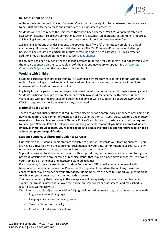

# <span id="page-9-0"></span>**Re-Assessment of Units**

A Student who is deemed '*Not Yet Competent*' in a unit has the right to be re-assessed. You are ensured to be satisfied with the fairness and accuracy of our assessment processes.

Students will need to repeat the unit where they have been deemed '*Not Yet Competent*' after a reassessment attempt. To achieve competency after a re-attempt, an additional assessment is required, J2S Training Solutions reserves the right to charge an additional unit re-enrolment fee.

J2S Training Solutions provides students the opportunity of two (2) attempts to complete a unit of competency. However, if the student still deemed as 'Not Yet Competent' on the second attempt, he/she will be required to participate in further training and to be re-assessed. This will attract an additional fee as outlined on the website, se[e Fees & Charges.](https://2cc4e78e-c485-4b1f-928d-3e093e7325a2.filesusr.com/ugd/1cc392_683c0908b58f4f929b4874034192ead7.pdf)

If a student has been advised after the second attempt to be '*Not Yet Competent*', but not satisfied with the result depending on the reasonable proof, the student may query or appeal (See *[Grievances,](https://2cc4e78e-c485-4b1f-928d-3e093e7325a2.filesusr.com/ugd/e3fe40_15064cb7f0614b4a9e71dcdcdc748dbf.pdf)  [Complaints & Appeals](https://2cc4e78e-c485-4b1f-928d-3e093e7325a2.filesusr.com/ugd/e3fe40_15064cb7f0614b4a9e71dcdcdc748dbf.pdf)* on the website or this handbook).

#### <span id="page-9-1"></span>**Working with Children**

Students participating in practical training in a workplace where they have direct contact with persons under 18 years of age in designated child-related employment areas, must complete a *Prohibited Employment Declaration* form on enrolment.

Eligibility for participation in some programs is based on information obtained through screening checks. Students participating in practicum placement which involves direct contact with children under 18 years of age without the presence of a qualified supervisor will be subject to a *Working with Children Check* as required by the State in which they are located.

#### <span id="page-9-2"></span>**National Police Check**

There are various qualifications that require work placement as a compulsory component of training It is now a mandatory requirement of Australian Skills Quality Authority (ASQA), state, territory and industry regulatory to have a clear and current National Police Check. In this circumstance, you will be required to undergo a National Police Check prior commencing work placement. **If you have a record of violent or sexual crime, fraud or theft, you will not be able to access the facilities and therefore would not be able to complete the qualification**.

#### <span id="page-9-3"></span>**Student Support, Welfare and Guidance Services**

Our trainers and student support staff are available to guide you towards your learning success. If you are having difficulties with the course material, managing your time, commitment your course, or any other academic related matter, do not hesitate to speak with our staff.

Support is provided to all students. The aim of this support may, within reason, include monitoring your progress, assisting with any learning or technical issues that may be hindering your progress, reviewing your training plan timelines and discussing planned activities.

If you are away from your studies, our Student Engagement Officer will contact you, usually via telephone, to determine the reason. Please use the opportunity to advise them of any barriers or concerns that may be hindering your attendance. Remember, we are here to support you moving closer to achieving your career goal by completing this course.

Trainees undertaking their training in the workplace will be regularly monitored by their trainer or supervisor. Trainers may conduct over-the-phone oral interviews or assessments and may schedule face-to-face workplace visits.

We allow reasonable adjustments within ASQA guidelines. Adjustments may be made for students with:

- English as a second language
- Language, literacy or numeracy needs
- Sensory diminished capacity
- Physical or intellectual disabilities.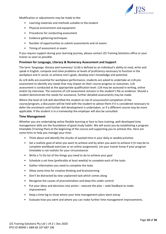

Modification or adjustments may be made to the:

- Learning materials and methods suitable to the student
- Physical environment and equipment
- Procedures for conducting assessment
- Evidence gathering techniques
- Number of opportunities to submit assessments and sit exams
- Timing of assessment or exam.

If you require support during your learning journey, please contact J2S Training Solutions office or your trainer as soon as possible.

## <span id="page-10-0"></span>**Provision for Language, Literacy & Numeracy Assessment and Support**

The term '*language, literacy and numeracy*' (LLN) is defined as an individual's ability to read, write and speak in English, compute and solve problems at levels of proficiency necessary to function in the workplace and in social, to achieve one's goals, develop one's knowledge and potential.

As LLN skills are essential for workplace performance, students are asked to undertake an LLN preassessment to identify any needs that may impact on their course progress or outcomes. LLN assessment is conducted at the appropriate qualification level. LLN may be assessed in writing, online and/or by interview. The outcome of LLN assessment remains in the student's file as evidence. Should a student demonstrate the needs for assistance, further detailed assessments may be made.

Where the level of LLN skill identified the student at risk of unsuccessful completion of the course/program, a discussion will be held with the student to advise them if it is considered necessary to defer the enrolment until further skill development is undertaken, or if a different course may be more applicable. If the student is in a traineeship the employer will also be consulted.

#### <span id="page-10-1"></span>**Time Management**

Whether you are undertaking online flexible learning or face to face training, well-developed time management skills are the foundation of good study habits. We will assist you by establishing a program timetable (Training Plan) at the beginning of the course and supporting you to achieve this. Here are some hints to help you manage your time:

- Think about and identify the chunks of wasted time in your daily or weekly activities
- Set a realistic goal of what you want to achieve and by when you want to achieve it (it may be to complete workbook exercises or an online assignment). Let your trainer know if your program timetable is not realistic for your circumstances
- Write a To Do list of the things you need to do to achieve your goal
- Schedule a set time (preferably at least weekly) to complete each of the tasks
- Gather information you need to complete the tasks
- Allow some time for creative thinking and brainstorming
- Don't be distracted by new unplanned task which comes along
- Recognise the causes of procrastination and keep this under control
- Put your ideas and decisions into action execute the plan seek feedback to make improvement
- Keep a time log to show where your time management plans went astray
- Evaluate how you went and where you can make further time management improvements.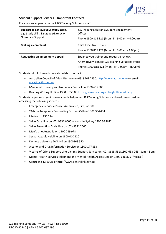

## <span id="page-11-0"></span>**Student Support Services – Important Contacts**

For assistance, please contact J2S Training Solutions' staff:

| Support to achieve your study goals.<br>e.g. Study skills, Language/Literacy/<br><b>Numeracy Support</b> | J2S Training Solutions Student Engagement<br>Officer<br>Phone 1300 818 121 (Mon - Fri 9:00am - 4:00pm)                                                 |
|----------------------------------------------------------------------------------------------------------|--------------------------------------------------------------------------------------------------------------------------------------------------------|
| <b>Making a complaint</b>                                                                                | Chief Executive Officer<br>Phone 1300 818 121 (Mon - Fri 9:00am - 4:00pm)                                                                              |
| Requesting an assessment appeal                                                                          | Speak to you trainer and request a review.<br>Alternatively, contact J2S Training Solutions office.<br>Phone: 1300 818 121 (Mon - Fri 9:00am - 4:00pm) |

Students with LLN needs may also wish to contact:

- Australian Council of Adult Literacy on (03) 9469 2950[. http://www.acal.edu.au](http://www.acal.edu.au/) or email [acal@pacific.net.au](mailto:acal@pacific.net.au)
- NSW Adult Literacy and Numeracy Council on 1300 655 506
- Reading Writing Hotline 1300 6 555 06<https://www.readingwritinghotline.edu.au/>

Students requiring urgent non-academic help when J2S Training Solutions is closed, may consider accessing the following services:

- Emergency Services (Police, Ambulance, Fire) on 000
- 24-hour Telephone Counselling Distress Call on 1300 364 454
- Lifeline on 131 114
- Salvo Care Line on (02) 9331 6000 or outside Sydney 1300 36 3622
- Salvo Prevention Crisis Line on (02) 9331 2000
- Men's Line Australia on 1300 789 978
- Sexual Assault Helpline on 1800 010 120
- Domestic Violence DV LINE on 1300363 550
- Alcohol and Drug Information Service on 1800 177 833
- Victims of Crime Support Line Victims Support Service on (02) 8688 551/1800 633 063 (8am 5pm)
- Mental Health Services telephone the Mental Health Access Line on 1800 636 825 (free call)
- Centrelink 13 10 21 or http://www.centrelink.gov.au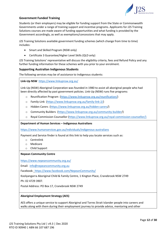

# <span id="page-12-0"></span>**Government Funded Training**

Students (or their employers) may be eligible for funding support from the State or Commonwealth Governments under a range of training support and incentive programs. Applicants for J2S Training Solutions courses are made aware of funding opportunities and what funding is provided by the Government accordingly, as well as exemptions/concessions that may apply.

J2S Training Solutions available government funding schemes (which change from time to time) includes:

- Smart and Skilled Program (NSW only)
- Certificate 3 Guarantee/Higher Level Skills (QLD only)

J2S Training Solutions' representative will discuss the eligibility criteria, fees and Refund Policy and any further funding information for these schemes with you prior to your enrolment.

#### <span id="page-12-1"></span>**Supporting Australian Indigenous Students**

The following services may be of assistance to Indigenous students:

**Link-Up NSW** <https://www.linkupnsw.org.au/>

Link-Up (NSW) Aboriginal Corporation was founded in 1980 to assist all aboriginal people who had been directly affected by past government policies. Link-Up (NSW) runs five programs:

- o [Reunification Program](http://linkupnsw.org.au/reunification-2/) [\(https://www.linkupnsw.org.au/reunification/\)](https://www.linkupnsw.org.au/reunification/)
- o [Family-Link](http://linkupnsw.org.au/family-link-2/) [\(https://www.linkupnsw.org.au/family-link-2/\)](https://www.linkupnsw.org.au/family-link-2/)
- o [Hidden Carers](http://linkupnsw.org.au/hidden-carers/) (https://www.linkupnsw.org.au/hidden-carers/)
- o [Community Builders](http://linkupnsw.org.au/community-builder/) (https://www.linkupnsw.org.au/community-builder/)
- o [Royal Commission Counsellor](http://linkupnsw.org.au/royal-commission-counsellor/) [\(https://www.linkupnsw.org.au/royal-commission-counsellor/\)](https://www.linkupnsw.org.au/royal-commission-counsellor/)

#### **Department of Human Services – Indigenous Australians**

<https://www.humanservices.gov.au/individuals/indigenous-australians>

Payment and Service finder is found at this link to help you locate services such as:

- o Centrelink
- o Medicare
- o Child Support

#### **Nepean Community Centre**

<https://www.nepeancommunity.org.au/>

Email: [info@nepeancommunity.org.au](mailto:info@nepeancommunity.org.au)

Facebook:<https://www.facebook.com/NepeanCommunity/>

Koolyangarra Aboriginal Child & Family Centre, 1 Kington Place, Cranebrook NSW 2749

Ph: 02 4729 3907.

Postal Address: PO Box 17, Cranebrook NSW 2749

#### **Aboriginal Employment Strategy (AES)**

AES offers a unique service to support Aboriginal and Torres Strait Islander people into careers and walks along with them during their employment journey to provide advice, mentoring and other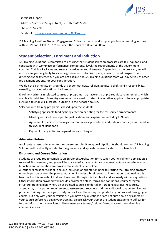

specialist support. Address: Suite 3, 295 High Street, Penrith NSW 2750 Phone: 9852 2700 Facebook: <https://www.facebook.com/AESPenrith/>

J2S Training Solutions Student Engagement Officer can assist and support you in your learning journey with us. Phone: 1300 818 121 between the hours of 9:00am-4:00pm

# <span id="page-13-0"></span>**Student Selection, Enrolment and Induction**

J2S Training Solutions is committed to ensuring that student selection processes are fair, equitable and consistent with workplace performance, competency level, the requirements of the government specified Training Packages and relevant curriculum requirements. Depending on the program, we will also review your eligibility to access a government subsidised place, as each funded program has differing eligibility criteria. If you are not eligible, the J2S Training Solutions team will advise you of other fee payment options, for your consideration.

We do not discriminate on grounds of gender, ethnicity, religion, political belief, family responsibility, sexuality, social or educational background.

Enrolment criteria in selected courses or programs may have entry or pre-requisite requirements which are clearly publicised. Pre-entry assessment are used to determine whether applicants have appropriate LLN skills to enable a successful outcome in their chosen course.

Selection into training programs is based upon the student:

- Satisfying applicable funding body criterion or opting for fee-for-service arrangements
- Meeting required pre-requisite qualifications and experience, including LLN skills
- Agreement to abide by the organisation policies, procedures and code of conduct, as outlined in this Student Handbook
- Payment of any initial and agreed fees and charges.

# <span id="page-13-1"></span>**Admission Refusal**

Applicants refused admission to the course can submit an appeal. Applicants should contact J2S Training Solutions office directly or refer to the grievance and appeals process located in this handbook.

#### <span id="page-13-2"></span>**Enrolment and Course Orientation**

Students are required to complete an Enrolment Application form. When your enrolment application is received, it is assessed, and you will be advised of your acceptance or non-acceptance into the course. Induction and orientation are provided to students at enrolment.

All students must participant in course induction or orientation prior to starting their training program either in person or over the phone. Induction includes a brief review of information contained in this handbook – it is important that you have read through this handbook and are ready with any questions. Other information provided will include enrolment details, terms and conditions, course/program structure, training plan (where an accredited course is undertaken), training facilities, resources, attendance/participation requirements, assessment procedure and the additional support services we provide. Training plans are your study contract and these may be updated as you proceed through your course, but only with your permission. If you have any questions or are not sure about any aspect of your course before you begin your training, please ask your trainer or Student Engagement Officer for further information. You will most likely meet your trainer/s either face-to-face or through online communications.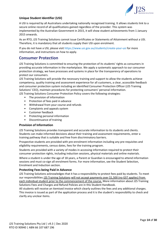

# <span id="page-14-0"></span>**Unique Student Identifier (USI)**

A USI is required by all Australians undertaking nationally recognised training. It allows students link to a secure online record of all qualifications gained regardless of the provider. This system was implemented by the Australian Government in 2015, it will show student achievements from 1 January 2015 onwards.

As an RTO, J2S Training Solutions cannot issue Certificates or Statements of Attainment without a USI. Therefore, it is mandatory that all students supply their USI upon enrolment.

If you do not have a USI, please visit [https://www.usi.gov.au/students/create-your-usi f](https://www.usi.gov.au/students/create-your-usi)or more information, and instructions on how to apply.

# <span id="page-14-1"></span>**Consumer Protection**

J2S Training Solutions is committed to ensuring the protection of its students' rights as consumers in providing accurate information in the marketplace. We apply a systematic approach to our consumer protection strategy, we have processes and systems in place for the transparency of operations to protect our consumers.

J2S Training Solutions will provide the necessary training and support to allow the students achieve competency, quality training and assessment experience for all customers, a clear, accessible feedback and consumer protection system including an identified Consumer Protection Officer (J2S Training Solutions' CEO), maintain procedures for protecting consumers' personal information. J2S Training Solutions Consumer Protection Policy covers the following strategies:

- The provision of information
- Protection of fees paid in advance
- Withdrawal from your course and refunds
- Complaints and appeals system
- Customer feedback
- Protecting personal information
- Discontinuance of training

#### <span id="page-14-2"></span>**Provision of Information**

J2S Training Solutions provides transparent and accurate information to its students and clients. Students can make informed decisions about their training and assessment requirements, enter a training pathway that is suitable and free from discriminatory barriers.

Prospective students are provided with pre-enrolment information including any pre-requisites and eligibility requirements, census dates, fees for the training program.

Students are provided with a variety of modes in accessing information required to protect their consumer protection rights, including induction sessions, physical materials and online materials.

Where a student is under the age of 18 years, a Parent or Guardian is encouraged to attend information sessions and must co-sign all enrolment forms. For more information, see the Student Selection, Enrolment and Induction section.

#### <span id="page-14-3"></span>**Protecting Fees being Paid in Advance**

J2S Training Solutions acknowledges that it has a responsibility to protect fees paid by students. To meet our responsibilities J2S Training Solutions will not accept payments over \$1,500 (no GST applies) from each individual student prior to the commencement of the course. More information about J2S Training Solutions Fees and Charges and Refund Policies are in this Student Handbook.

All students will receive an itemised invoice which clearly outlines the fees and any additional charges. This invoice is issued as part of the application process and it is the student's responsibility to check and clarify any unclear items.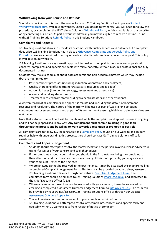

# <span id="page-15-0"></span>**Withdrawing from your Course and Refunds**

Should you decide that this is not the course for you, J2S Training Solutions has in place a [Student](https://2cc4e78e-c485-4b1f-928d-3e093e7325a2.filesusr.com/ugd/e3fe40_1749a012338a4f4980aecf4b128320af.pdf)  [Withdrawal procedure,](https://2cc4e78e-c485-4b1f-928d-3e093e7325a2.filesusr.com/ugd/e3fe40_1749a012338a4f4980aecf4b128320af.pdf) available on website. Should you decide to withdraw, you will need to follow this procedure, by completing the J2S Training Solutions [Withdrawal Form,](https://2cc4e78e-c485-4b1f-928d-3e093e7325a2.filesusr.com/ugd/e3fe40_a2b7936ccdcc424ab9198dad44ce78a9.pdf) which is available on our website or by contacting our office. As part of your withdrawal, you may be eligible to receive a refund, in line with J2S Training Solutions [Refunds Policy](https://2cc4e78e-c485-4b1f-928d-3e093e7325a2.filesusr.com/ugd/e3fe40_61d5423a529440f6aa40d374e433b5e7.pdf) in this Student Handbook.

#### <span id="page-15-1"></span>**Complaints and Appeals**

J2S Training Solutions strives to provide its customers with quality services and outcomes, if a complaint does arise, J2S Training Solutions has in place a [Grievance, Complaints and Appeals Policy and](https://2cc4e78e-c485-4b1f-928d-3e093e7325a2.filesusr.com/ugd/e3fe40_15064cb7f0614b4a9e71dcdcdc748dbf.pdf)  [Procedure.](https://2cc4e78e-c485-4b1f-928d-3e093e7325a2.filesusr.com/ugd/e3fe40_15064cb7f0614b4a9e71dcdcdc748dbf.pdf) We are committed to acting on each substantiated complaint, concern or appeal. This policy is available on our website.

J2S Training Solutions use a systematic approach to deal with complaints, concerns and appeals. All concerns, complaints and appeals are dealt with fairly, honestly, without bias, in a professional and fully documented manner.

Students may make a complaint about both academic and non-academic matters which may include (but are not limited to):

- Post-enrolment processes (including induction, orientation and enrolment)
- Quality of training offered (trainers/assessors, resources and facilities)
- Academic issues (intervention strategy, assessment and attendance)
- Access and handling student records
- Treatment received from staff including trainers/assessors and other students.

A written record of all complaints and appeals is maintained, including the details of lodgement, response and resolution. The nature of the matter will be used as part of J2S Training Solutions continuous improvement process and as part of its commitment ensuring high level training services are maintained.

Note that a student's enrolment will be maintained while the complaints and appeal process in ongoing and will not be jeopardised in any way. **Any complainant must commit to acting in good faith throughout the process and be willing to work towards a resolution as promptly as possible**.

All complaints are to follow J2S Training Solutions [Complaint Policy](https://2cc4e78e-c485-4b1f-928d-3e093e7325a2.filesusr.com/ugd/e3fe40_15064cb7f0614b4a9e71dcdcdc748dbf.pdf) found on our website. If a student requires help with understanding this process, they should contact J2S Training Solutions office for assistance.

# <span id="page-15-2"></span>**Complaints and Appeals Lodgement**

- Students**should** attempt to resolve the matter locally and the person involved. Please advise your trainer/assessor of your concern and seek their advice
- If the complaint is about your trainer you should in the first instance, bring the complaint to their attention and try to resolve the issue amicably. If this is not possible, you may escalate your complaint – refer to the next step
- Where an issue cannot be resolved in the first instance, it may be escalated by sending/emailing a completed Complaint Lodgement Form. This form can be provided by your trainer/assessor, J2S Training Solutions office or through our website: [Complaint Lodgement Form.](https://2cc4e78e-c485-4b1f-928d-3e093e7325a2.filesusr.com/ugd/1cc392_679f6be064ed49eb98eaa0d4e0d4ba56.pdf) The completed form should be emailed to J2S Training Solutions [info@j2s.edu.au](mailto:info@j2s.edu.au) and addressed to the Chief Executive Officer (CEO)
- Where an assessment result cannot be resolved with your assessor, it may be escalated by emailing a completed Assessment Outcome Lodgement Form to [info@j2s.edu.au.](mailto:info@j2s.edu.au) The form can be provided by your trainer/assessor, J2S Training Solutions office or through our website: [Assessment](https://2cc4e78e-c485-4b1f-928d-3e093e7325a2.filesusr.com/ugd/1cc392_edc300a73db74f1a91a1cb47799f38b9.pdf) Outcome Appeal form
- You will receive confirmation of receipt of your complaint within 48 hours
- J2S Training Solutions will attempt to resolve any complaints, concerns and appeals fairly and equitably within 10 working days from receipt of notice of complaint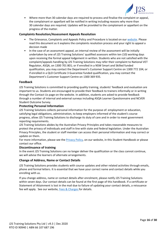

• Where more than 30 calendar days are required to process and finalise the complaint or appeal, the complainant or appellant will be notified in writing including reasons why more than 30 calendar days are required. Updates will be provided to the complainant or appellant on the progress of the matter.

# <span id="page-16-0"></span>**Complaints Resolution/Assessment Appeals Resolution**

- The Grievance, Complaints and Appeals Policy and Procedure is located on our [website.](https://2cc4e78e-c485-4b1f-928d-3e093e7325a2.filesusr.com/ugd/e3fe40_15064cb7f0614b4a9e71dcdcdc748dbf.pdf) Please read this document as it explains the complaints resolution process and your right to appeal a decision made
- In the case of an assessment appeal, an internal review of the assessment will be initially undertaken by one of J2S Training Solutions' qualified assessors within ten (10) working days upon receiving the formal appeal lodgement in written. Students who are not satisfied with the complaint/appeals handling by J2S Training Solutions may refer their complaint to National VET Regulator, ASQA, on 1300 701 801; or if enrolled in a NSW Smart and Skilled funded qualification, you may contact the Department's Customer Support Centre on 1300 772 104; or if enrolled in a QLD Certificate 3 Guarantee funded qualification, you may contact the Department's Customer Support Centre on 1300 369 935.

#### <span id="page-16-1"></span>**Feedback**

J2S Training Solutions is committed to providing quality training, students' feedback and evaluation are important to us. Students are encouraged to provide their feedback to trainers informally or in writing through the Contact Us page on the website. In addition, students are asked to provide feedback through a number of internal and external surveys including ASQA Learner Questionnaire and NCVER Student Outcome Survey.

#### <span id="page-16-2"></span>**Protecting Personal Information**

J2S Training Solutions collects personal information for the purpose of: employment or education, satisfying legal obligations, administration, to keep employers informed of the student's course progress, allow J2S Training Solutions to discharge its duty of care and in order to meet government reporting requirements.

J2S Training Solutions abides by the Australian Privacy Principles and takes reasonable measures to protect the privacy of individuals and staff in line with state and federal legislation. Under the Australian Privacy Principles, the student or staff member can access their personal information and may correct or update on them.

For more information, please see the **Privacy Policy**, on our website, in this Student Handbook or please contact our office.

#### <span id="page-16-3"></span>**Discontinuance of training**

In the event J2S Training Solutions can no longer deliver the qualification or the class cannot continue, we will advise the learners of alternate arrangements.

#### <span id="page-16-4"></span>**Change of Address, Name or Contact Details**

J2S Training Solutions provides students with course updates and other related activities through emails, phone and formal letters. It is essential that we have your correct name and contact details while you enrolling with us.

If you change address, name or contact details after enrolment, please notify J2S Training Solutions within seven days. Our contact details can be found at the first page of this handbook. If a certificate or Statement of Attainment is lost in the mail due to failure of updating your contact details, a reissuance fee will apply. See our website, [Fees & Charges f](https://2cc4e78e-c485-4b1f-928d-3e093e7325a2.filesusr.com/ugd/1cc392_683c0908b58f4f929b4874034192ead7.pdf)or details.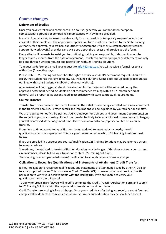

# <span id="page-17-0"></span>**Course changes**

# <span id="page-17-1"></span>**Deferment of Studies**

Once you have enrolled and commenced in a course, generally you cannot defer, except on compassionate grounds or compelling circumstances with evidence provided.

In some circumstances, trainees may also apply for an extension or temporary suspension with the consent of their employer. The appropriate application form must be submitted to the State Training Authority for approval. Your trainer, our Student Engagement Officer or Australian Apprenticeships Support Network (AASN) provider can advise you about the process and provide you the form.

Every effort will be made to assist you to continuing training where possible, deferment cannot be longer than 12 months from the date of lodgement. Transfer to another program or deferment can only be done through written request and negotiation with J2S Training Solutions.

To request a deferment, email your request to [info@j2s.edu.au.](mailto:info@j2s.edu.au) You will receive a formal response within five (5) working days.

Please note – J2S Training Solutions has the right to refuse a student's deferment request. Should this occur, the student has the right to follow J2S Training Solutions' Complaints and Appeals procedure (as outlined within this Student Handbook and on our website).

A deferment will not trigger a refund. However, no further payment will be required during the approved deferment period. Students do not recommence training within a 12- month period of deferral will be reported as discontinued in accordance with state contractual requirements.

## <span id="page-17-2"></span>**Course Transfer**

Transfer from one course to another will result in the initial course being cancelled and a new enrolment in the transferred course. Further details and implications will be explained by your trainer or our staff.

We are required to notify third parties (AASN, employer for trainees, and government Departments) on the subject of your transferring. Should the transfer be likely to incur additional course fees and charges, you will be advised at the lodgement time. There is no administration/application fee for a course transfer.

From time to time, accredited qualifications being updated to meet industry needs, the old qualifications become superseded. This is a government initiative which J2S Training Solutions must follow.

If you are enrolled in a superseded course/qualification, J2S Training Solutions may transfer you across to an updated one.

Sometimes, the updated course/qualification duration may be longer. If this does not suit your current circumstances, please talk to your trainer or contact J2S Training Solutions.

Transferring from a superseded course/qualification to an updated one is free of charge.

# <span id="page-17-3"></span>**Obligation to Recognise Qualifications and Statements of Attainment (Credit Transfer)**

It is our obligation to recognise qualifications and statements of attainment issued by other RTOs align to your proposed course. This is known as Credit Transfer (CT). However, you must provide us with permission to verify your achievements with the issuing RTO if we are unable to verify your qualifications with the USI portal.

To apply for Credit Transfer, you will need to complete the Credit Transfer Application Form and submit to J2S Training Solutions with the required documentations and permission.

Credit Transfer processing is free of charge. Once your credit transfer being approved, relevant fees and charges will be deducted from your overall course. Your course duration may be shortened as well.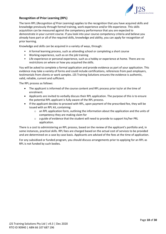

# <span id="page-18-0"></span>**Recognition of Prior Learning (RPL)**

The term RPL (*Recognition of Prior Learning*) applies to the recognition that you have acquired skills and knowledge previously through formal training, work experience and/or life experience. This skills acquisition can be measured against the competency performance that you are expected to demonstrate in your current course. If you look into your course competency criteria and believe you already have part or all of the required skills, knowledge and ability, you can apply for recognition of prior learning.

Knowledge and skills can be acquired in a variety of ways, through:

- A formal learning process, such as attending school or completing a short course
- Working experience, such as on the job training
- Life experience or personal experience, such as a hobby or experience at home. There are no restrictions on where or how you acquired the skills.

You will be asked to complete a formal application and provide evidence as part of your application. This evidence may take a variety of forms and could include certifications, references from past employers, testimonials from clients or work samples. J2S Training Solutions ensures the evidence is authentic, valid, reliable, current and sufficient.

The RPL process as follows:

- The applicant is informed of the course content and RPL process prior to/or at the time of enrolment.
- Applicants are invited to verbally discuss their RPL application. The purpose of this is to ensure the potential RPL applicant is fully aware of the RPL process.
- If the applicant decides to proceed with RPL, upon payment of the prescribed fee, they will be issued with an RPL kit, containing:
	- $\circ$  an RPL application form, outlining the information about the application and the units of competency they are making claim for
	- o a guide of evidence that the student will need to provide to support his/her PRL application.

There is a cost to administering an RPL process, based on the review of the applicant's portfolio and, in some instances, practical skills. RPL fees are charged based on the actual cost of services to be provided and are determined on a case by case basis. Applicants are advised of the fees at the time of application.

For any subsidised or funded program, you should discuss arrangements prior to applying for an RPL as RPL is not funded by such bodies.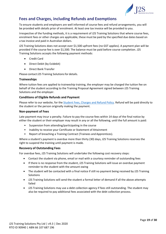

# <span id="page-19-0"></span>**Fees and Charges, including Refunds and Exemptions**

To ensure students and employers are well informed of course fees and refund arrangements, you will be provided with details prior of enrolment. At least one tax invoice will be provided to you.

Irrespective of the funding methods, it is a requirement of J2S Training Solutions that where course fees, enrolment fees or other charges are applicable, these must be paid by the specified due dates based on a tax invoice and paid in Australian dollars.

J2S Training Solutions does not accept over \$1,500 upfront fees (no GST applies). A payment plan will be provided if the course fee is over \$1,500. The balance must be paid before course completion. J2S Training Solutions accepts the following payment methods:

- Credit Card
- Direct Debit (by Ezidebit)
- Direct Bank Transfer

Please contact J2S Training Solutions for details.

# <span id="page-19-1"></span>**Traineeships**

Where tuition fees are applied to traineeship training, the employer may be charged the tuition fee on behalf of the student according to the Training Proposal Agreement signed between J2S Training Solutions and the employer.

## <span id="page-19-2"></span>**Conditions of Eligible Refunds and Payment**

Please refer to our website, for the [Student Fees, Charges and Refund Policy.](https://2cc4e78e-c485-4b1f-928d-3e093e7325a2.filesusr.com/ugd/e3fe40_61d5423a529440f6aa40d374e433b5e7.pdf) Refund will be paid directly to the student or the person originally making the payment.

#### <span id="page-19-3"></span>**Non-payment of Fees**

Late payment may incur a penalty. Failure to pay the course fees within 14 days of the final notice by either the student or their employer may result in any or all the following, until the full amount is paid:

- Suspension from attending/participating in the course
- Inability to receive your Certificate or Statement of Attainment
- Report of breaching a Training Contract (Trainees and Apprentices).

Where a student's payment is overdue more than thirty (30) days, J2S Training Solutions reserves the right to suspend the training until payment is made.

#### <span id="page-19-4"></span>**Recovery of Outstanding Fees**

For overdue fees, J2S Training Solutions will undertake the following cost recovery steps:

- Contact the student via phone, email or mail with a courtesy reminder of outstanding fees
- If there is no response from the student, J2S Training Solutions will issue an overdue payment reminder to the student with the amount owing
- The student will be contacted with a final notice if still no payment being received by J2S Training Solutions
- J2S Training Solutions will send the student a formal letter of demand if all the above attempts failed
- J2S Training Solutions may use a debt collection agency if fees still outstanding. The student may also be required to pay additional fees associated with the debt collection process.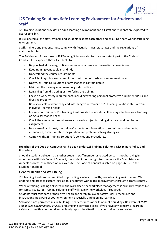

# <span id="page-20-0"></span>**J2S Training Solutions Safe Learning Environment for Students and Staff**

J2S Training Solutions provides an adult learning environment and all staff and students are expected to act responsibly.

It is expected all the staff, trainers and students respect each other and ensuring a safe working/training environment.

Staff, trainers and students must comply with Australian laws, state laws and the regulations of statutory bodies.

The Policies and Procedures of J2S Training Solutions also form an important part of the Code of Conduct. It is expected that all students to:

- Be punctual at training, notice your leave or absence at the earliest convenience
- Keep training venues clean and tidy
- Understand the course requirements
- Check holidays, business commitments etc. do not clash with assessment dates
- Notify J2S Training Solutions of any change in contact details
- Maintain the training equipment in good conditions
- Refraining from disrupting or interfering the training
- Focus on work safety requirements, including wearing personal protective equipment (PPE) and dressing properly
- Be responsible of identifying and informing your trainer or J2S Training Solutions staff of your individual learning needs
- Inform your trainer or J2S Training Solutions staff of any difficulties may interfere your learning or extra assistance needs
- Check the assessment requirements for each subject including due dates and number of assignments
- Be aware of, and meet, the trainers' expectations in relation to submitting assignments, attendance, communication, negotiation and problem-solving strategies
- Comply with J2S Training Solutions 's policies and procedures.

## **Breaches of the Code of Conduct shall be dealt under J2S Training Solutions' Disciplinary Policy and Procedure**.

Should a student believe that another student, staff member or related person is not behaving in accordance with this Code of Conduct, the student has the right to commence the Complaints and Appeals process, as outlined on our website. The Code of Conduct is listed on page 26 - 30 in this Student Handbook.

#### <span id="page-20-1"></span>**General Health and Well-Being**

J2S Training Solutions is committed to providing a safe and healthy work/training environment. We endorse and practice current legislation, encourage workplace improvements through hazards control.

When a training is being delivered in the workplace, the workplace management is primarily responsible for safety issues. J2S Training Solutions staff will review the workplace if required.

Students must take care of their own health and safety follow all safety rules, procedures and instructions. Be aware of your environment especially during online learning.

Smoking is not permitted inside buildings, near entrances or exits of public buildings. Be aware of *NSW Smoke-free Environment Act 2000* and smoking permitted areas. If you have any concerns regarding safety and health, you should immediately report the situation to your trainer or supervisor.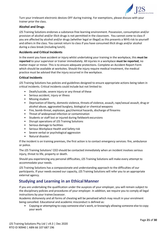

Turn your irrelevant electronic devices OFF during training. For exemptions, please discuss with your trainer prior the class.

# <span id="page-21-0"></span>**Alcohol and Drugs**

J2S Training Solutions endorses a substance-free learning environment. Possession, consumption and/or provision of alcohol and/or illicit drugs is not permitted in the classroom. You cannot come to class if you are affected by alcohol and/or drugs (whether legal or illegal) as this presents a WHS risk to yourself and others in the class. You cannot return to class if you have consumed illicit drugs and/or alcohol during a class break (including lunch).

# **Accidents and Critical Incidents**

In the event you have accident or injury whilst undertaking your training in the workplace, this **must be reported** to your supervisor or trainer immediately. All injuries in a workplace **must be reported**, no matter major or minor. This is to ensure adequate protections. Complete an Accident Report Form which should be available at worksites. Should the injury require medical treatment, the medical practice must be advised that the injury occurred in the workplace.

## <span id="page-21-1"></span>**Critical Incidents**

J2S Training Solutions has policies and guidelines designed to ensure appropriate actions being taken in critical incidents. Critical incidents could include but not limited to:

- Death/suicide, severe injury or any threat of these
- Serious accident, injury or illness
- Missing student
- Deprivation of liberty, domestic violence, threats of violence, assault, rape/sexual assault, drug or alcohol abuse, aggravated burglary, biological or chemical weapons
- Fire, bomb-threat, explosion, gas/chemical hazards, discharge of firearms
- Threat of widespread infection or contamination
- Students or staff lost or injured during fieldwork excursions
- Disrupt operations of J2S Training Solutions
- Serious damage to facilities
- Serious Workplace Health and Safety risk
- Severe verbal or psychological aggression
- Natural disaster.

If the incident is on training premises, the first action is to contact emergency services: fire, ambulance or police.

The J2S Training Solutions' CEO should be contacted immediately when an incident involves serious injury, threat to life, property or death.

Should you experiencing any personal difficulties, J2S Training Solutions will make every attempt to accommodate your needs.

J2S Training Solutions has a compassionate and understanding approach to the difficulties of our participants. If your needs exceed our capacity, J2S Training Solutions will refer you to an appropriate external agency.

# <span id="page-21-2"></span>**Studying and Learning in an Ethical Manner**

If you are undertaking the qualification under the auspices of your employer, you will remain subject to the disciplinary policies and procedures of your employer. In addition, we require you to comply all legal instructions by your trainer/assessor.

Academic dishonesty and all forms of cheating will be penalised which may result in your enrolment being cancelled. Educational and academic misconduct is defined as:

• Copying or attempting to copy someone else's work, or knowingly allowing someone else to copy your work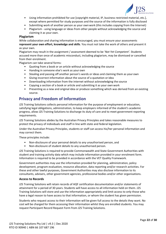

- Using information prohibited for use [copyright material, IP, business restricted material, etc.], except where permitted for study purposes and the source of the information is fully disclosed
- Submitting work of another person as your ownwork (this includes copying from the Internet)
- Plagiarism using language or ideas from other people without acknowledging the source and claiming it as your own.

## <span id="page-22-0"></span>**Plagiarism**

While collaboration and sharing information is encouraged, you must ensure your assessments **represent your own effort, knowledge and skills**. You must not take the work of others and present it as your own.

Plagiarism may result in the assignment / assessment deemed to be '*Not Yet Competent'*. Students accused more than once of academic misconduct, including plagiarism, may be dismissed or cancelled from their enrolment.

Plagiarism can take several forms:

- Quoting from a book or an article without acknowledging the source
- Handing in someone else's work as your own
- Stealing and passing off another person's words or ideas and claiming them as your own
- Giving incorrect information about the source of a quotation or idea
- Downloading information from the internet without acknowledging the source
- Copying a section of a book or article and submitting it as your own work
- Presenting as a new and original idea or produce something which was derived from an existing source.

# <span id="page-22-1"></span>**Privacy and Freedom of Information**

J2S Training Solutions collects personal information for the purpose of employment or education, satisfying legal obligations, administration, to keep employers informed of the student's academic progress, allow J2S Training Solutions to discharge its duty of care and to meet government reporting requirements.

J2S Training Solutions abides by the Australian Privacy Principles and takes reasonable measures to protect the privacy of individuals and staff in line with state and federal legislation.

Under the Australian Privacy Principles, students or staff can access his/her personal information and may correct them.

These principles include:

- Non-disclosure of your personal details to any unauthorised person, and
- Non-disclosure of student details to any unauthorised person.

J2S Training Solutions is required to provide Commonwealth and State Government Authorities with student and training activity data which may include information provided in your enrolment form. Information is required to be provided in accordance with the VET Quality Framework.

Government authorities may use the information provided for planning, administration, policy development, program evaluation, resource allocation, data reporting and/or research activities. For these and other lawful purposes, Government Authorities may also disclose information to its consultants, advisers, other government agencies, professional bodies and/or other organisations.

#### <span id="page-22-2"></span>**Access to Records**

J2S Training Solutions will retain records of AQF certification documentation and/or statements of attainment for a period of 30 years. Students will have access to all information held on them. J2S Training Solutions will store and use the information appropriately and limit access to only those who have a legal reason to have access to that information, or whom the student has given permission.

Students who request access to their information will be given full access to the details they want. No cost will be charged for them accessing their information whilst they are enrolled students. You may request Participant Record Request Form from J2S Training Solutions.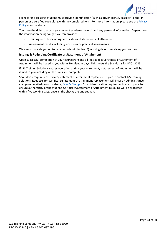

For records accessing, student must provide identification (such as driver license, passport) either in person or a certified copy along with the completed form. For more information, please see the [Privacy](https://2cc4e78e-c485-4b1f-928d-3e093e7325a2.filesusr.com/ugd/e3fe40_0d3ccc01ccfb4b0aba5f02c1a25772ff.pdf)  [Policy](https://2cc4e78e-c485-4b1f-928d-3e093e7325a2.filesusr.com/ugd/e3fe40_0d3ccc01ccfb4b0aba5f02c1a25772ff.pdf) at our website*.*

You have the right to access your current academic records and any personal information. Depends on the information being sought, we can provide:

- Training records including certificates and statements of attainment
- Assessment results including workbook or practical assessments.

We aim to provide you up to date records within five (5) working days of receiving your request.

## <span id="page-23-0"></span>**Issuing & Re-issuing Certificate or Statement of Attainment**

Upon successful completion of your coursework and all fees paid, a Certificate or Statement of Attainment will be issued to you within 30 calendar days. This meets the Standards for RTOs 2015.

If J2S Training Solutions ceases operation during your enrolment, a statement of attainment will be issued to you including all the units you completed.

Should you require a certificate/statement of attainment replacement, please contact J2S Training Solutions. Requests for certificate/statement of attainment replacement will incur an administrative charge as detailed on our website, [Fees & Charges.](https://2cc4e78e-c485-4b1f-928d-3e093e7325a2.filesusr.com/ugd/1cc392_683c0908b58f4f929b4874034192ead7.pdf) Strict identification requirements are in place to ensure authenticity of the student. Certificate/Statement of Attainment reissuing will be processed within five working days, once all the checks are undertaken.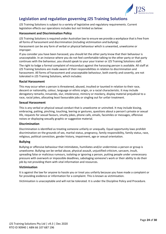

# <span id="page-24-0"></span>**Legislation and regulation governing J2S Training Solutions**

J2S Training Solutions is subject to a variety of legislative and regulatory requirements. Current legislation effects our operations includes but not limited as below:

## <span id="page-24-1"></span>**Harassment and Discrimination Policy**

J2S Training Solutions isrequired under Australian law to ensure we provide a workplace that isfree from all forms of harassment and discrimination (including victimisation and bullying).

Harassment can be any form of verbal or physical behaviour which is unwanted, unwelcome or improper.

If you consider you have been harassed, you should let the other party know that their behaviour is unacceptable. In an instance where you do not feel comfortable talking to the other party or that party continues with the behaviour, you should speak to your your trainer or J2S Training Solutions staff.

The right to lodge a formal complaint of misconduct against the harassing person is available. All staff at J2S Training Solutions are made aware of their responsibilities in relation to discrimination and harassment. All forms of harassment and unacceptable behaviour, both overtly and covertly, are not tolerated in J2S Training Solutions, which includes:

#### <span id="page-24-2"></span>**Racial Harassment**

This may occur when a person is threatened, abused, insulted or taunted in relation to their race, descent or nationality, colour, language or ethnic origin, or a racial characteristic. It may include derogatory remarks, innuendo, slur, intolerance, mimicry or mockery, display material prejudicial to a race, racial jokes, allocating least favourable jobs or singling out for unfair treatment.

#### <span id="page-24-3"></span>**Sexual Harassment**

This is any verbal or physical sexual conduct that is unwelcome or uninvited. It may include kissing, embracing, patting, pinching, touching, leering or gestures, questions about a person's private or sexual life, requests for sexual favours, smutty jokes, phone calls, emails, facsimiles or messages, offensive noises or displaying sexually graphic or suggestive material.

#### <span id="page-24-4"></span>**Discrimination**

Discrimination is identified as treating someone unfairly or unequally. Equal opportunity laws prohibit discrimination on the grounds of sex, marital status, pregnancy, family responsibility, family status, race, religious, political conviction, gender history, impairment, age or sexual orientation.

#### <span id="page-24-5"></span>**Bullying**

Bullying or offensive behaviour that intimidates, humiliates and/or undermines a person or group is unwelcome. Bullying can be verbal abuse, physical assault, unjustified criticism, sarcasm, insult, spreading false or malicious rumours, isolating or ignoring a person, putting people under unnecessary pressure with overwork or impossible deadlines, sabotaging someone's work or their ability to do their job by not providing them with vital information and resources.

#### <span id="page-24-6"></span>**Victimisation**

It is against the law for anyone to hassle you or treat you unfairly because you have made a complaint or for providing evidence or information for a complaint. This is known as victimisation.

Victimisation is unacceptable and will not be tolerated. It is under the Discipline Policy and Procedure.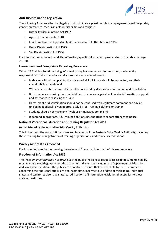

# <span id="page-25-0"></span>**Anti-Discrimination Legislation**

The following Acts describe the illegality to discriminate against people in employment based on gender, gender preference, race, skin colour, disabilities and religious:

- Disability Discrimination Act 1992
- Age Discrimination Act 2004
- Equal Employment Opportunity (Commonwealth Authorities) Act 1987
- Racial Discrimination Act 1975
- Sex Discrimination Act 1984.

For information on the Acts and State/Territory specific information, please refer to the table on page 29 - 30.

#### <span id="page-25-1"></span>**Harassment and Complaints Reporting Processes**

When J2S Training Solutions being informed of any harassment or discrimination, we have the responsibility to take immediate and appropriate action to address it.

- In dealing with all complaints, the privacy of all individuals should be respected, and their confidentiality maintained
- Whenever possible, all complaints will be resolved by discussion, cooperation and conciliation
- Both the person making the complaint, and the person against will receive information, support and assistance in resolving the issue
- Harassment or discrimination should not be confused with legitimate comment and advice (including feedback) given appropriately by J2S Training Solutions or trainer
- Students should not make any frivolous or malicious complaints
- If deemed appropriate, J2S Training Solutions has the right to report offences to police.

# <span id="page-25-2"></span>**National Vocational Education and Training Regulator Act 2011**

(Administered by the Australian Skills Quality Authority)

This Act sets out the constitutional roles and functions of the Australia Skills Quality Authority, including those relating to the registration of training organisations, and course accreditations.

#### <span id="page-25-3"></span>**Privacy Act 1998 as Amended**

For further information concerning the release of "personal information" please see below.

#### <span id="page-25-4"></span>**Freedom of Information Act 1982**

The *Freedom of Information Act 1982* gives the public the right to request access to documents held by most commonwealth government departments and agencies including the Department of Education and Workplace Relations. The public are also able to ensure that records held by the Government concerning their personal affairs are not incomplete, incorrect, out of date or misleading. Individual states and territories also have state-based freedom of information legislation that applies to those state or territories.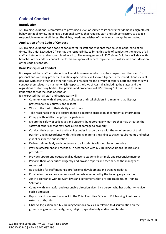

# <span id="page-26-0"></span>**Code of Conduct**

# <span id="page-26-1"></span>**Introduction**

J2S Training Solutions is committed to providing a level of service to its clients that demands high ethical behaviour at all times. Training is a personal service that requires staff and sub-contractors to act in a responsible manner at all times. The rights, needs and wishes of clients must always be respected.

# <span id="page-26-2"></span>**Application of the Code of Conduct**

J2S Training Solutions has a code of conduct for its staff and students that must be adhered to at all times. The Chief Executive Officer has the responsibility to bring this code of conduct to the notice of all staff and students, and ensure it is adhered to. The management of J2S Training Solutions will deal with breaches of the code of conduct. Performance appraisal, where implemented, will include consideration of the code of conduct.

## <span id="page-26-3"></span>**Basic Principles of Conduct**

It is expected that staff and students will work in a manner which displays respect for others and for personal and company property. It is also expected they will show diligence in their work, honesty in all dealings with each other and other parties, and respect for the privacy of others. Staff and students will conduct themselves in a manner which respects the laws of Australia, including the states and the regulations of statutory bodies. The policies and procedures of J2S Training Solutions also form an important part of the code of conduct.

It is expected that all staff and contractors will:

- Communicate with all students, colleagues and stakeholders in a manner that displays professionalism, courtesy and respect
- Work to the best of their ability at all times
- Take reasonable steps to ensure there is adequate protection of confidential information
- Comply with intellectual property guidelines
- Ensure the safety of colleagues and students by reporting any matters that may threaten the safety of others or that may pose a risk of damage to property
- Conduct their assessment and training duties in accordance with the requirements of their position and in accordance with the learning materials, training package requirements and other guidelines for the qualification
- Deliver training fairly and courteously to all students without bias or prejudice
- Provide assessment and feedback in accordance with J2S Training Solutions' policies and procedures
- Provide support and educational guidance to students in a timely and responsive manner
- Perform their work duties diligently and provide reports and feedback to the manager as requested
- Be available for staff meetings, professional development and training updates
- Provide for the accurate retention of records as required by the training organisation
- Act in accordance with relevant laws and agreements that are applicable to J2S Training Solutions
- Comply with any lawful and reasonable direction given by a person who has authority to give such a direction
- Report fraud or corrupt conduct to the Chief Executive Officer of J2S Training Solutions or external authorities
- Observe legislation and J2S Training Solutions policies in relation to discrimination on the grounds of gender, sexuality, race, religion, age, disability and/or marital status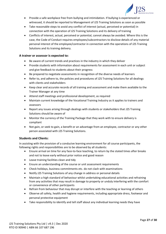

- Provide a safe workplace free from bullying and intimidation. If bullying is experienced or witnessed, it should be reported to Management of J2S Training Solutions as soon as possible
- Take reasonable steps to avoid any conflict of interest (actual, perceived or potential) in connection with the operation of J2S Training Solutions and its delivery of training
- Conflicts of interest, actual, perceived or potential, cannot always be avoided. Where this is the case, the Code of Conduct requires employees/subcontractors to disclose details of any material personal interest of the employee/contractor in connection with the operations of J2S Training Solutions and its training delivery.

# <span id="page-27-0"></span>**A trainer or assessor is expected to:**

- Be aware of current trends and practices in the industry in which they deliver
- Provide students with information about requirements for assessment in each unit or subject and give feedback to students about their progress
- Be prepared to negotiate assessments in recognition of the diverse needs of learners
- Refer to, and adhere to, the policies and procedures of J2S Training Solutions for all dealings with clients and stakeholders
- Keep clear and accurate records of all training and assessment and make them available to the Trainer Manager at any time
- Attend staff meetings and professional development, as required
- Maintain current knowledge of the Vocational Training Industry as it applies to trainers and assessors
- Report any issues arising through dealings with students or stakeholders that J2S Training Solutions should be aware of
- Monitor the currency of the Training Package that they work with to ensure delivery is compliant
- Not gain, or seek to gain, a benefit or an advantage from an employee, contractor or any other person associated with J2S Training Solutions.

# <span id="page-27-1"></span>**Students and Clients:**

In assisting with the provision of a conducive learning environment for all course participants, the following rights and responsibilities are to be observed by all students:

- Ensure arrival on time for any face-to-face teaching, to return by the stated times after breaks and not to leave early without prior notice and good reason
- Leave training facilities clean and tidy
- Ensure an understanding of the course or unit assessment requirements
- Check holidays, business commitments etc. do not clash with examinations
- Notify J2S Training Solutions of any change in address or personal details
- Maintain a high standard of behaviour whilst undertaking educational activities and refraining from any activities that may result in damage to property or unduly interfering with the comfort or convenience of other participants
- Refrain from behaviour that may disrupt or interfere with the teaching or learning of others
- Observe all safety, health and hygiene requirements, including appropriate dress, footwear and personal protective equipment
- Take responsibility to identify and tell staff about any individual learning needs they have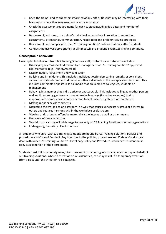

- Keep the trainer and coordinators informed of any difficulties that may be interfering with their learning or where they may need some extra assistance
- Check the assessment requirements for each subject including due dates and number of assignments
- Be aware of, and meet, the trainer's individual expectations in relation to submitting assignments, attendance, communication, negotiation and problem-solving strategies
- Be aware of, and comply with, the J2S Training Solutions' policies that may affect students
- Conduct themselves appropriately at all times whilst a student is with J2S Training Solutions.

# <span id="page-28-0"></span>**Unacceptable behaviour**

Unacceptable behaviour from J2S Training Solutions staff, contractors and students includes:

- Disobeying any reasonable direction by a management or J2S Training Solutions' approved representative (e.g. Trainer/Assessor)
- Discrimination, harassment and victimisation
- Bullying and intimidation. This includes malicious gossip, demeaning remarks or consistent sarcasm or spiteful comments directed at other individuals in the workplace or classroom. This includes comments or posts in social media that are aimed at colleagues, students or management
- Behaving in a manner that is disruptive or unacceptable. This includes yelling at another person, making threatening gestures or using offensive language (including swearing) that is inappropriate or may cause another person to feel unsafe, frightened or threatened
- Making racist or sexist comments
- Disrupting the workplace or classroom in a way that causes unnecessary stress or distress to others and reduces harmony within the workplace or classroom
- Viewing or distributing offensive material via the internet, email or other means
- Illegal use of drugs or alcohol
- Vandalism or causing willful damage to property of J2S Training Solutions or other organisations
- Endangering the safety of self or others.

All students who enrol with J2S Training Solutions are bound by J2S Training Solutions' policies and procedures and Code of Conduct. Any breaches to the policies, procedures and Code of Conduct are dealt with under J2S Training Solutions' Disciplinary Policy and Procedure, which each student must obey as a condition of their enrolment.

Students must follow all safety rules, directions and instructions given by any person acting on behalf of J2S Training Solutions. Where a threat or a risk is identified, this may result in a temporary exclusion from a class until the threat or risk is negated.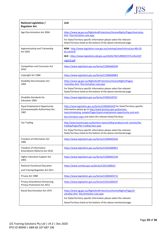

| National Legislation /<br><b>Regulator Act</b>                                | Link                                                                                                                                                                                                                                                  |
|-------------------------------------------------------------------------------|-------------------------------------------------------------------------------------------------------------------------------------------------------------------------------------------------------------------------------------------------------|
| Age Discrimination Act 2004                                                   | https://www.ag.gov.au/RightsAndProtections/HumanRights/Pages/Australias-<br>Anti-Discrimination-Law.aspx                                                                                                                                              |
|                                                                               | For State/Territory specific information please select the relevant<br>State/Territory listed at the bottom of the above-mentioned page.                                                                                                              |
| Apprenticeship and Traineeship<br>Act 2001                                    | NSW - http://www.legislation.nsw.gov.au/maintop/view/inforce/act+80+20<br>$01 + cd + 0 + N$                                                                                                                                                           |
|                                                                               | QLD - https://www.legislation.qld.gov.au/LEGISLTN/CURRENT/F/FurtherEdT<br>rngA14.pdf                                                                                                                                                                  |
| Competition and Consumer Act<br>2010                                          | https://www.legislation.gov.au/Series/C2004A00109                                                                                                                                                                                                     |
| Copyright Act 1968                                                            | https://www.legislation.gov.au/Series/C1968A00063                                                                                                                                                                                                     |
| <b>Disability Discrimination Act</b><br>1992                                  | https://www.ag.gov.au/RightsAndProtections/HumanRights/Pages/<br>Australias-Anti-Discrimination-Law.aspx                                                                                                                                              |
|                                                                               | For State/Territory specific information please select the relevant<br>State/Territory listed at the bottom of the above-mentioned page.                                                                                                              |
| Disability Standards for<br><b>Education 2005</b>                             | https://www.legislation.gov.au/Series/F2005L00767                                                                                                                                                                                                     |
| <b>Equal Employment Opportunity</b><br>(Commonwealth Authorities) Act<br>1987 | https://www.legislation.gov.au/Series/C2004A03429 For State/Territory specific<br>information please go to http://www.business.gov.au/business-<br>topics/employing-people/Pages/equal-employment-opportunity-and-anti-                               |
|                                                                               | discrimination.aspx and select the relevant State/Territory                                                                                                                                                                                           |
| <b>Fair Trading</b>                                                           | http://www.business.gov.au/business-topics/selling-products-and-services/fair-<br>trading/Pages/fair-trading-laws.aspx                                                                                                                                |
|                                                                               | For State/Territory specific information please select the relevant<br>State/Territory listed at the bottom of the above-mentioned page                                                                                                               |
| Freedom of Information Act<br>1982                                            | https://www.legislation.gov.au/Series/C2004A02562                                                                                                                                                                                                     |
| Freedom of Information<br>Amendment (Reform) Act 2010                         | https://www.legislation.gov.au/Series/C2010A00051                                                                                                                                                                                                     |
| <b>Higher Education Support Act</b><br>2003                                   | https://www.legislation.gov.au/Series/C2004A01234                                                                                                                                                                                                     |
| <b>National Vocational Education</b><br>and Training Regulator Act 2011       | https://www.comlaw.gov.au/Series/C2011A00012                                                                                                                                                                                                          |
| Privacy Act 1988                                                              | https://www.legislation.gov.au/Series/C2004A03712                                                                                                                                                                                                     |
| Privacy Amendment (Enhancing<br>Privacy Protection) Act 2012                  | https://www.legislation.gov.au/Series/C2012A00197                                                                                                                                                                                                     |
| <b>Racial Discrimination Act 1975</b>                                         | https://www.ag.gov.au/RightsAndProtections/HumanRights/Pages/A<br>ustralias-Anti- Discrimination-Law.aspx<br>For State/Territory specific information please select the relevant<br>State/Territory listed at the bottom of the above-mentioned page. |